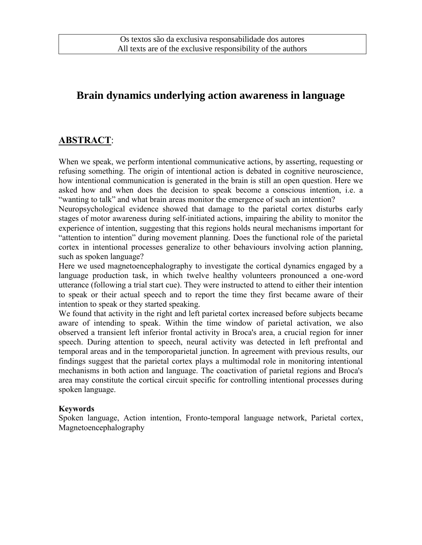## **Brain dynamics underlying action awareness in language**

### **ABSTRACT**:

When we speak, we perform intentional communicative actions, by asserting, requesting or refusing something. The origin of intentional action is debated in cognitive neuroscience, how intentional communication is generated in the brain is still an open question. Here we asked how and when does the decision to speak become a conscious intention, i.e. a "wanting to talk" and what brain areas monitor the emergence of such an intention?

Neuropsychological evidence showed that damage to the parietal cortex disturbs early stages of motor awareness during self-initiated actions, impairing the ability to monitor the experience of intention, suggesting that this regions holds neural mechanisms important for "attention to intention" during movement planning. Does the functional role of the parietal cortex in intentional processes generalize to other behaviours involving action planning, such as spoken language?

Here we used magnetoencephalography to investigate the cortical dynamics engaged by a language production task, in which twelve healthy volunteers pronounced a one-word utterance (following a trial start cue). They were instructed to attend to either their intention to speak or their actual speech and to report the time they first became aware of their intention to speak or they started speaking.

We found that activity in the right and left parietal cortex increased before subjects became aware of intending to speak. Within the time window of parietal activation, we also observed a transient left inferior frontal activity in Broca's area, a crucial region for inner speech. During attention to speech, neural activity was detected in left prefrontal and temporal areas and in the temporoparietal junction. In agreement with previous results, our findings suggest that the parietal cortex plays a multimodal role in monitoring intentional mechanisms in both action and language. The coactivation of parietal regions and Broca's area may constitute the cortical circuit specific for controlling intentional processes during spoken language.

#### **Keywords**

Spoken language, [Action](http://cercor.oxfordjournals.org/search?fulltext=motor+intention&sortspec=date&submit=Submit&andorexactfulltext=phrase) intention, Fronto-temporal language network, [Parietal cortex,](http://cercor.oxfordjournals.org/search?fulltext=parietal+cortex&sortspec=date&submit=Submit&andorexactfulltext=phrase) [Magnetoencephalography](http://cercor.oxfordjournals.org/search?fulltext=magnetoencephalography&sortspec=date&submit=Submit&andorexactfulltext=phrase)